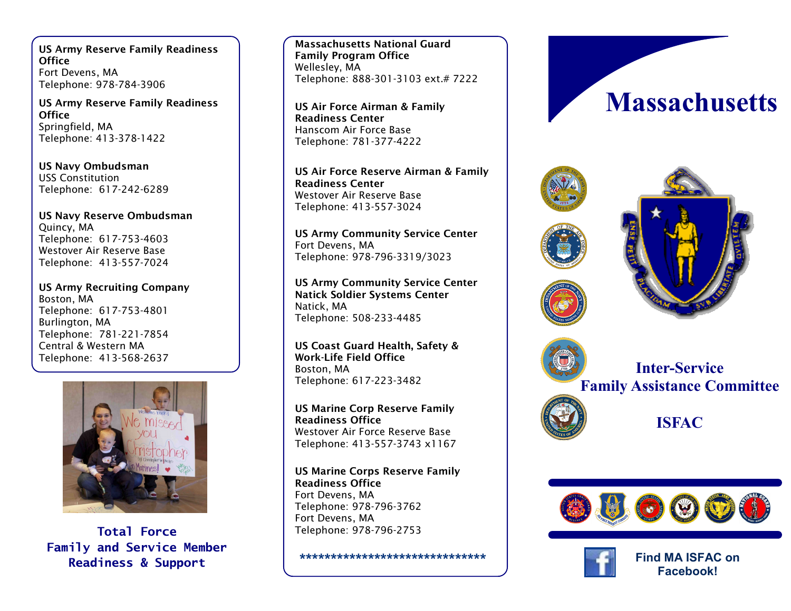**US Army Reserve Family Readiness Office** Fort Devens, MA Telephone: 978 -784 -3906

**US Army Reserve Family Readiness Office** Springfield, MA Telephone: 413 -378 -1422

**US Navy Ombudsman** USS Constitution Telephone: 617 -242 -6289

**US Navy Reserve Ombudsman** Quincy, MA Telephone: 617 -753 -4603 Westover Air Reserve Base Telephone: 413 -557 -7024

**US Army Recruiting Company** Boston, MA Telephone: 617 -753 -4801 Burlington, MA Telephone: 781 -221 -7854 Central & Western MA Telephone: 413 -568 -2637



**Total Force Family and Service Member Readiness & Support**

**Massachusetts National Guard Family Program Office** Wellesley, MA Telephone: 888 -301 -3103 ext.# 7222

**US Air Force Airman & Family Readiness Center**  Hanscom Air Force Base Telephone: 781 -377 -4222

**US Air Force Reserve Airman & Family Readiness Center** Westover Air Reserve Base Telephone: 413 -557 -3024

**US Army Community Service Center** Fort Devens, MA Telephone: 978 -796 -3319/3023

**US Army Community Service Center Natick Soldier Systems Center** Natick, MA Telephone: 508 -233 -4485

**US Coast Guard Health, Safety & Work -Life Field Office**  Boston, MA Telephone: 617 -223 -3482

**US Marine Corp Reserve Family Readiness Office** Westover Air Force Reserve Base Telephone: 413 -557 -3743 x1167

**US Marine Corps Reserve Family Readiness Office** Fort Devens, MA Telephone: 978 -796 -3762 Fort Devens, MA Telephone: 978 -796 -2753

**\*\*\*\*\*\*\*\*\*\*\*\*\*\*\*\*\*\*\*\*\*\*\*\*\*\*\*\*\*\***









**Inter -Service Family Assistance Committee** 

**ISFAC**





**Find MA ISFAC on Facebook!**